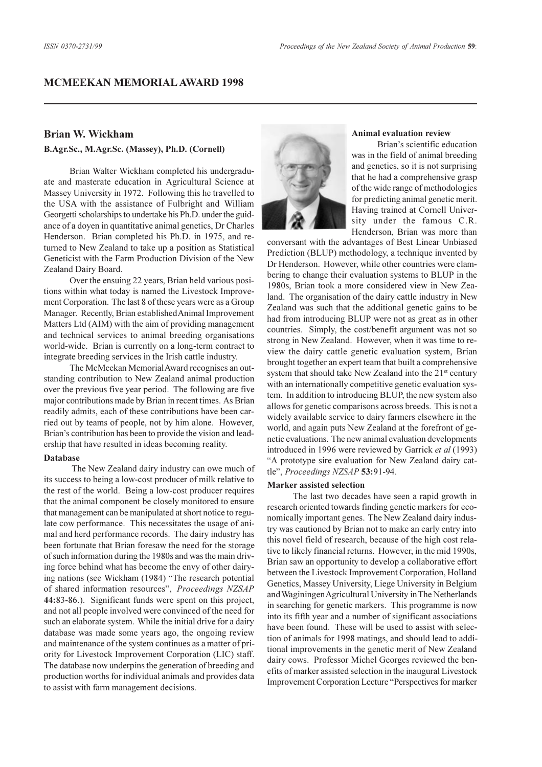# **MCMEEKAN MEMORIAL AWARD 1998**

# **Brian W. Wickham**

### **B.Agr.Sc., M.Agr.Sc. (Massey), Ph.D. (Cornell)**

Brian Walter Wickham completed his undergraduate and masterate education in Agricultural Science at Massey University in 1972. Following this he travelled to the USA with the assistance of Fulbright and William Georgetti scholarships to undertake his Ph.D. under the guidance of a doyen in quantitative animal genetics, Dr Charles Henderson. Brian completed his Ph.D. in 1975, and returned to New Zealand to take up a position as Statistical Geneticist with the Farm Production Division of the New Zealand Dairy Board.

Over the ensuing 22 years, Brian held various positions within what today is named the Livestock Improvement Corporation. The last 8 of these years were as a Group Manager. Recently, Brian established Animal Improvement Matters Ltd (AIM) with the aim of providing management and technical services to animal breeding organisations world-wide. Brian is currently on a long-term contract to integrate breeding services in the Irish cattle industry.

The McMeekan Memorial Award recognises an outstanding contribution to New Zealand animal production over the previous five year period. The following are five major contributions made by Brian in recent times. As Brian readily admits, each of these contributions have been carried out by teams of people, not by him alone. However, Brian's contribution has been to provide the vision and leadership that have resulted in ideas becoming reality.

#### **Database**

 The New Zealand dairy industry can owe much of its success to being a low-cost producer of milk relative to the rest of the world. Being a low-cost producer requires that the animal component be closely monitored to ensure that management can be manipulated at short notice to regulate cow performance. This necessitates the usage of animal and herd performance records. The dairy industry has been fortunate that Brian foresaw the need for the storage of such information during the 1980s and was the main driving force behind what has become the envy of other dairying nations (see Wickham (1984) "The research potential of shared information resources", Proceedings NZSAP **44:**83-86.). Significant funds were spent on this project, and not all people involved were convinced of the need for such an elaborate system. While the initial drive for a dairy database was made some years ago, the ongoing review and maintenance of the system continues as a matter of priority for Livestock Improvement Corporation (LIC) staff. The database now underpins the generation of breeding and production worths for individual animals and provides data to assist with farm management decisions.



### **Animal evaluation review**

Brian's scientific education was in the field of animal breeding and genetics, so it is not surprising that he had a comprehensive grasp of the wide range of methodologies for predicting animal genetic merit. Having trained at Cornell University under the famous C.R. Henderson, Brian was more than

conversant with the advantages of Best Linear Unbiased Prediction (BLUP) methodology, a technique invented by Dr Henderson. However, while other countries were clambering to change their evaluation systems to BLUP in the 1980s, Brian took a more considered view in New Zealand. The organisation of the dairy cattle industry in New Zealand was such that the additional genetic gains to be had from introducing BLUP were not as great as in other countries. Simply, the cost/benefit argument was not so strong in New Zealand. However, when it was time to review the dairy cattle genetic evaluation system, Brian brought together an expert team that built a comprehensive system that should take New Zealand into the 21<sup>st</sup> century with an internationally competitive genetic evaluation system. In addition to introducing BLUP, the new system also allows for genetic comparisons across breeds. This is not a widely available service to dairy farmers elsewhere in the world, and again puts New Zealand at the forefront of genetic evaluations. The new animal evaluation developments introduced in 1996 were reviewed by Garrick *et al* (1993) A prototype sire evaluation for New Zealand dairy cattle, *Proceedings NZSAP* **53:**91-94.

### **Marker assisted selection**

The last two decades have seen a rapid growth in research oriented towards finding genetic markers for economically important genes. The New Zealand dairy industry was cautioned by Brian not to make an early entry into this novel field of research, because of the high cost relative to likely financial returns. However, in the mid 1990s, Brian saw an opportunity to develop a collaborative effort between the Livestock Improvement Corporation, Holland Genetics, Massey University, Liege University in Belgium and Waginingen Agricultural University in The Netherlands in searching for genetic markers. This programme is now into its fifth year and a number of significant associations have been found. These will be used to assist with selection of animals for 1998 matings, and should lead to additional improvements in the genetic merit of New Zealand dairy cows. Professor Michel Georges reviewed the benefits of marker assisted selection in the inaugural Livestock Improvement Corporation Lecture "Perspectives for marker